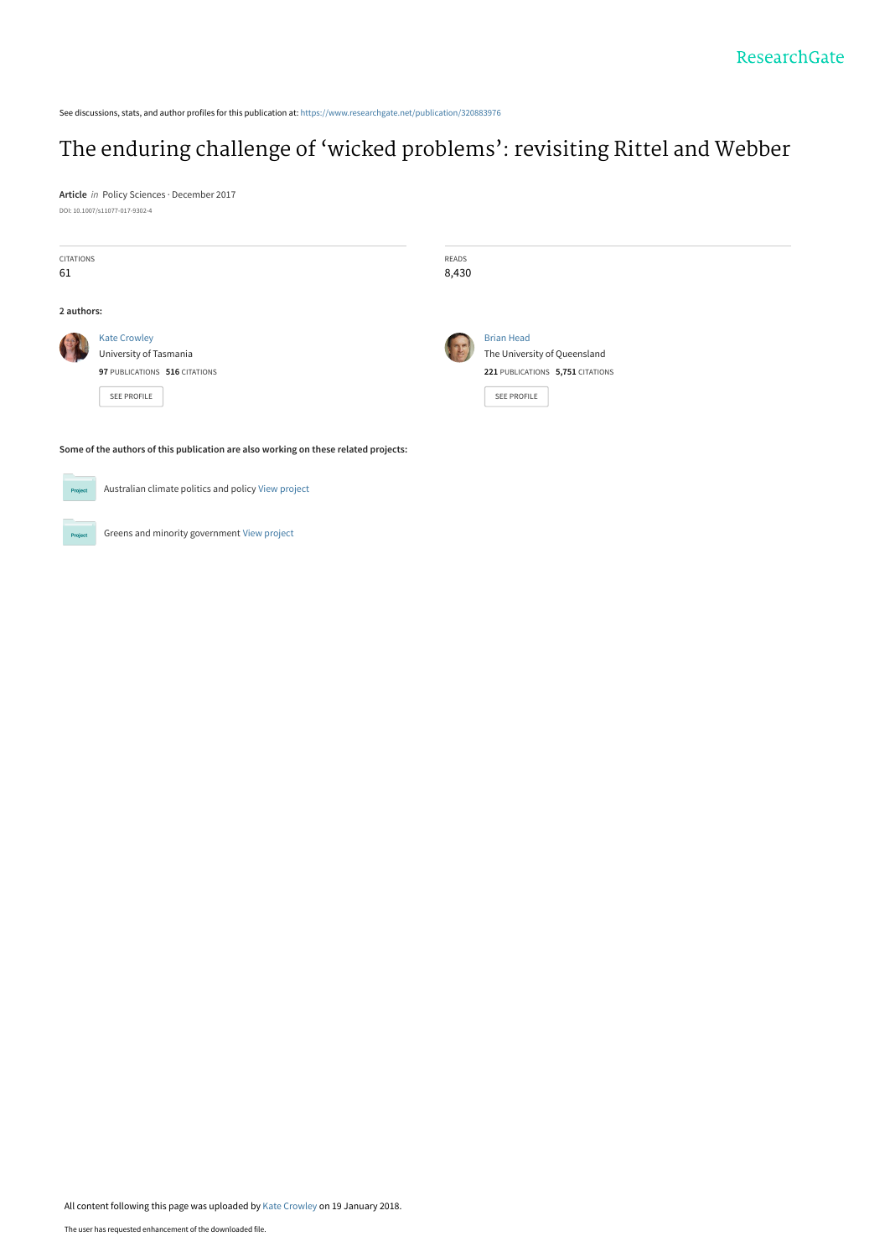See discussions, stats, and author profiles for this publication at: [https://www.researchgate.net/publication/320883976](https://www.researchgate.net/publication/320883976_The_enduring_challenge_of_%27wicked_problems%27_revisiting_Rittel_and_Webber?enrichId=rgreq-f8813de1fc06d241163e62f8376f4e1c-XXX&enrichSource=Y292ZXJQYWdlOzMyMDg4Mzk3NjtBUzo1ODQzNzAzMTQyOTczNDRAMTUxNjMzNjE0ODk1OQ%3D%3D&el=1_x_2&_esc=publicationCoverPdf)

# [The enduring challenge of 'wicked problems': revisiting Rittel and Webber](https://www.researchgate.net/publication/320883976_The_enduring_challenge_of_%27wicked_problems%27_revisiting_Rittel_and_Webber?enrichId=rgreq-f8813de1fc06d241163e62f8376f4e1c-XXX&enrichSource=Y292ZXJQYWdlOzMyMDg4Mzk3NjtBUzo1ODQzNzAzMTQyOTczNDRAMTUxNjMzNjE0ODk1OQ%3D%3D&el=1_x_3&_esc=publicationCoverPdf)

**Article** in Policy Sciences · December 2017 DOI: 10.1007/s11077-017-9302-4

| <b>CITATIONS</b><br>61                                                              |                                                                                                      | READS<br>8,430 |                                                                                                      |  |
|-------------------------------------------------------------------------------------|------------------------------------------------------------------------------------------------------|----------------|------------------------------------------------------------------------------------------------------|--|
| 2 authors:                                                                          |                                                                                                      |                |                                                                                                      |  |
|                                                                                     | <b>Kate Crowley</b><br>University of Tasmania<br>97 PUBLICATIONS 516 CITATIONS<br><b>SEE PROFILE</b> |                | <b>Brian Head</b><br>The University of Queensland<br>221 PUBLICATIONS 5,751 CITATIONS<br>SEE PROFILE |  |
| Some of the authors of this publication are also working on these related projects: |                                                                                                      |                |                                                                                                      |  |



All content following this page was uploaded by [Kate Crowley](https://www.researchgate.net/profile/Kate-Crowley?enrichId=rgreq-f8813de1fc06d241163e62f8376f4e1c-XXX&enrichSource=Y292ZXJQYWdlOzMyMDg4Mzk3NjtBUzo1ODQzNzAzMTQyOTczNDRAMTUxNjMzNjE0ODk1OQ%3D%3D&el=1_x_10&_esc=publicationCoverPdf) on 19 January 2018.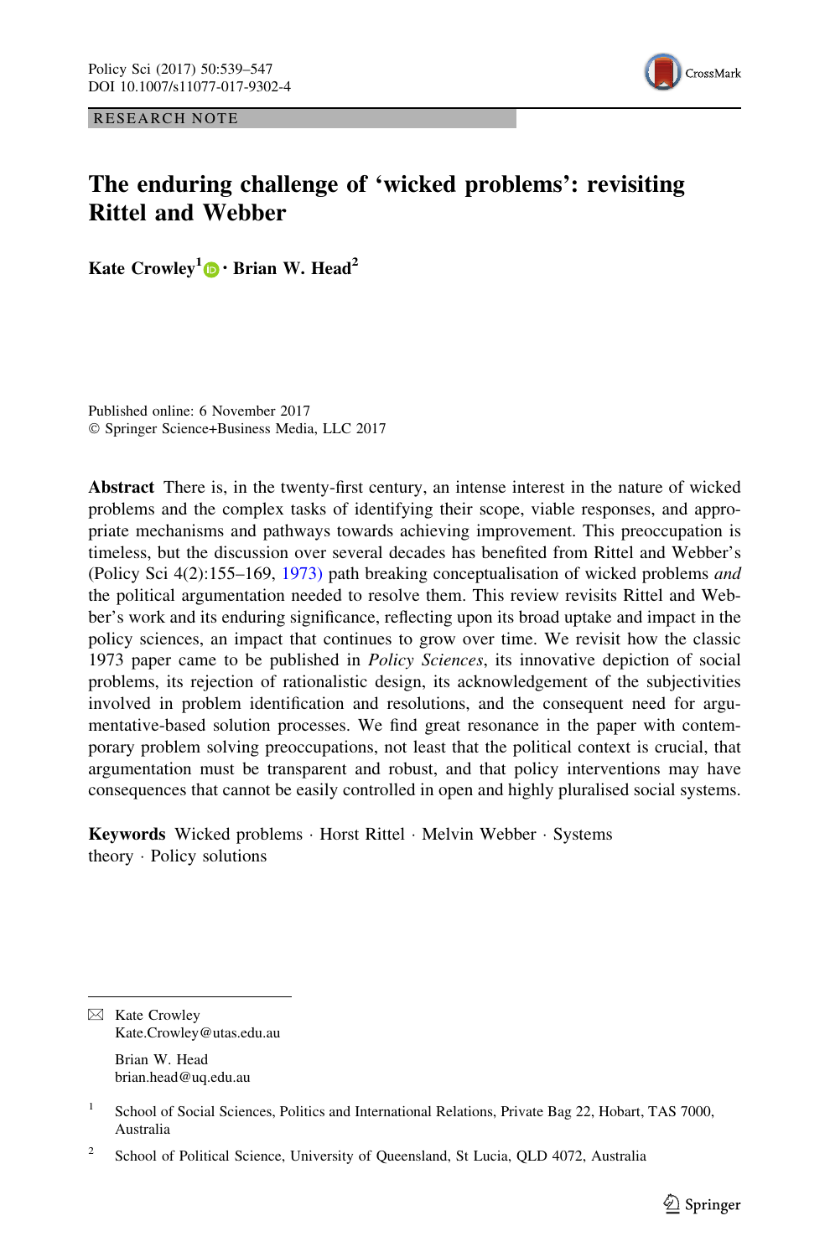RESEARCH NOTE



# The enduring challenge of 'wicked problems': revisiting Rittel and Webber

Kate Crowley<sup>1</sup> • Brian W. Head<sup>2</sup>

Published online: 6 November 2017 - Springer Science+Business Media, LLC 2017

Abstract There is, in the twenty-first century, an intense interest in the nature of wicked problems and the complex tasks of identifying their scope, viable responses, and appropriate mechanisms and pathways towards achieving improvement. This preoccupation is timeless, but the discussion over several decades has benefited from Rittel and Webber's (Policy Sci 4(2):155–169, [1973\)](#page-9-0) path breaking conceptualisation of wicked problems and the political argumentation needed to resolve them. This review revisits Rittel and Webber's work and its enduring significance, reflecting upon its broad uptake and impact in the policy sciences, an impact that continues to grow over time. We revisit how the classic 1973 paper came to be published in Policy Sciences, its innovative depiction of social problems, its rejection of rationalistic design, its acknowledgement of the subjectivities involved in problem identification and resolutions, and the consequent need for argumentative-based solution processes. We find great resonance in the paper with contemporary problem solving preoccupations, not least that the political context is crucial, that argumentation must be transparent and robust, and that policy interventions may have consequences that cannot be easily controlled in open and highly pluralised social systems.

Keywords Wicked problems · Horst Rittel · Melvin Webber · Systems theory - Policy solutions

 $\boxtimes$  Kate Crowley Kate.Crowley@utas.edu.au Brian W. Head

brian.head@uq.edu.au

<sup>&</sup>lt;sup>1</sup> School of Social Sciences, Politics and International Relations, Private Bag 22, Hobart, TAS 7000, Australia

<sup>&</sup>lt;sup>2</sup> School of Political Science, University of Queensland, St Lucia, QLD 4072, Australia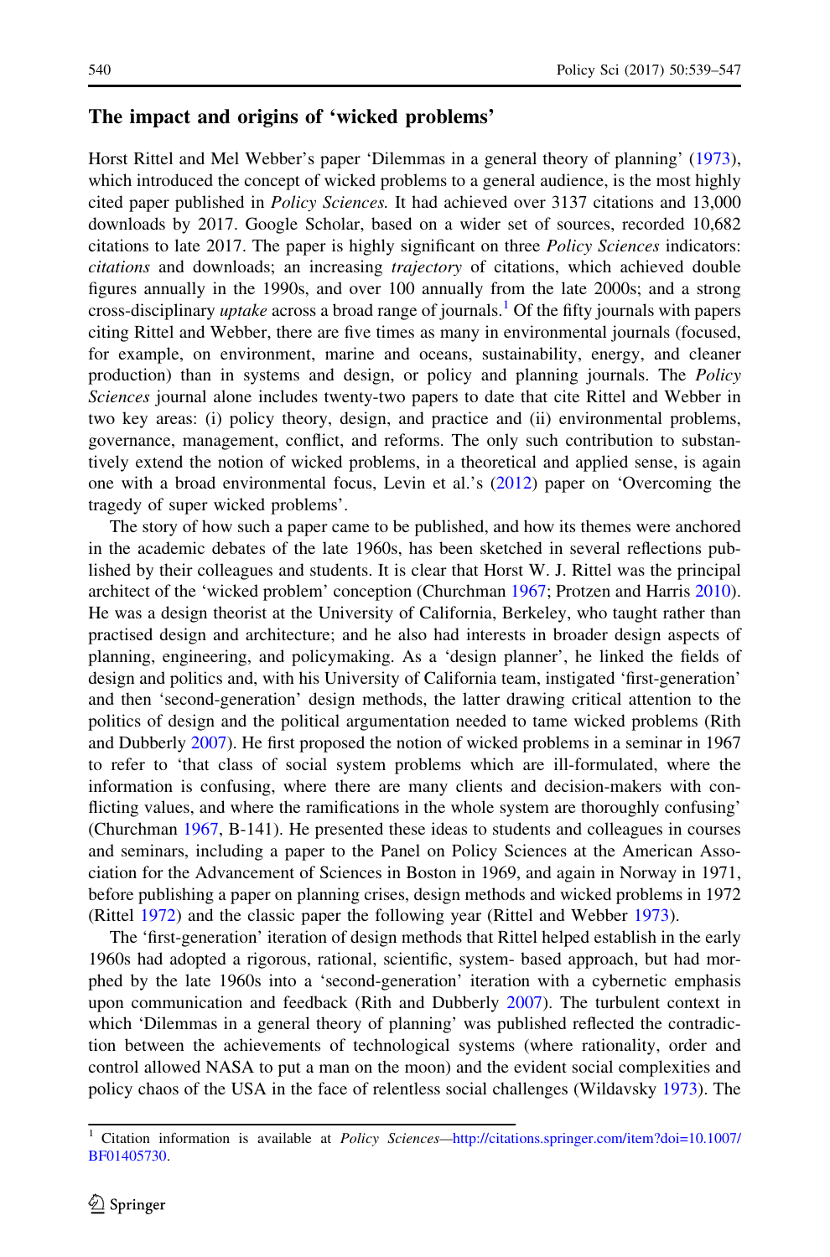### The impact and origins of 'wicked problems'

Horst Rittel and Mel Webber's paper 'Dilemmas in a general theory of planning' [\(1973](#page-9-0)), which introduced the concept of wicked problems to a general audience, is the most highly cited paper published in Policy Sciences. It had achieved over 3137 citations and 13,000 downloads by 2017. Google Scholar, based on a wider set of sources, recorded 10,682 citations to late 2017. The paper is highly significant on three Policy Sciences indicators: citations and downloads; an increasing trajectory of citations, which achieved double figures annually in the 1990s, and over 100 annually from the late 2000s; and a strong cross-disciplinary *uptake* across a broad range of journals.<sup>1</sup> Of the fifty journals with papers citing Rittel and Webber, there are five times as many in environmental journals (focused, for example, on environment, marine and oceans, sustainability, energy, and cleaner production) than in systems and design, or policy and planning journals. The Policy Sciences journal alone includes twenty-two papers to date that cite Rittel and Webber in two key areas: (i) policy theory, design, and practice and (ii) environmental problems, governance, management, conflict, and reforms. The only such contribution to substantively extend the notion of wicked problems, in a theoretical and applied sense, is again one with a broad environmental focus, Levin et al.'s ([2012\)](#page-9-0) paper on 'Overcoming the tragedy of super wicked problems'.

The story of how such a paper came to be published, and how its themes were anchored in the academic debates of the late 1960s, has been sketched in several reflections published by their colleagues and students. It is clear that Horst W. J. Rittel was the principal architect of the 'wicked problem' conception (Churchman [1967](#page-8-0); Protzen and Harris [2010](#page-9-0)). He was a design theorist at the University of California, Berkeley, who taught rather than practised design and architecture; and he also had interests in broader design aspects of planning, engineering, and policymaking. As a 'design planner', he linked the fields of design and politics and, with his University of California team, instigated 'first-generation' and then 'second-generation' design methods, the latter drawing critical attention to the politics of design and the political argumentation needed to tame wicked problems (Rith and Dubberly [2007](#page-9-0)). He first proposed the notion of wicked problems in a seminar in 1967 to refer to 'that class of social system problems which are ill-formulated, where the information is confusing, where there are many clients and decision-makers with conflicting values, and where the ramifications in the whole system are thoroughly confusing' (Churchman [1967,](#page-8-0) B-141). He presented these ideas to students and colleagues in courses and seminars, including a paper to the Panel on Policy Sciences at the American Association for the Advancement of Sciences in Boston in 1969, and again in Norway in 1971, before publishing a paper on planning crises, design methods and wicked problems in 1972 (Rittel [1972](#page-9-0)) and the classic paper the following year (Rittel and Webber [1973\)](#page-9-0).

The 'first-generation' iteration of design methods that Rittel helped establish in the early 1960s had adopted a rigorous, rational, scientific, system- based approach, but had morphed by the late 1960s into a 'second-generation' iteration with a cybernetic emphasis upon communication and feedback (Rith and Dubberly [2007](#page-9-0)). The turbulent context in which 'Dilemmas in a general theory of planning' was published reflected the contradiction between the achievements of technological systems (where rationality, order and control allowed NASA to put a man on the moon) and the evident social complexities and policy chaos of the USA in the face of relentless social challenges (Wildavsky [1973\)](#page-9-0). The

<sup>1</sup> Citation information is available at Policy Sciences—[http://citations.springer.com/item?doi=10.1007/](http://citations.springer.com/item?doi=10.1007/BF01405730) [BF01405730](http://citations.springer.com/item?doi=10.1007/BF01405730).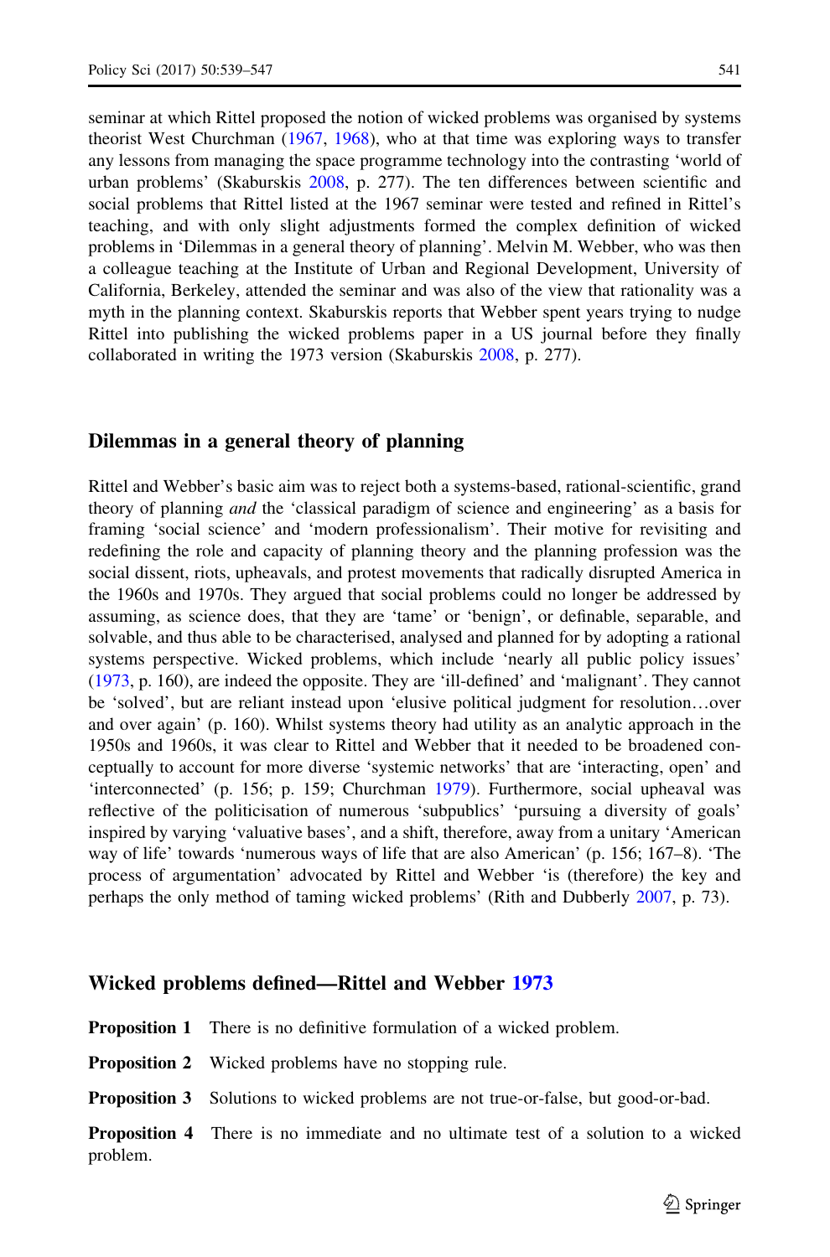seminar at which Rittel proposed the notion of wicked problems was organised by systems theorist West Churchman [\(1967](#page-8-0), [1968\)](#page-8-0), who at that time was exploring ways to transfer any lessons from managing the space programme technology into the contrasting 'world of urban problems' (Skaburskis [2008,](#page-9-0) p. 277). The ten differences between scientific and social problems that Rittel listed at the 1967 seminar were tested and refined in Rittel's teaching, and with only slight adjustments formed the complex definition of wicked problems in 'Dilemmas in a general theory of planning'. Melvin M. Webber, who was then a colleague teaching at the Institute of Urban and Regional Development, University of California, Berkeley, attended the seminar and was also of the view that rationality was a myth in the planning context. Skaburskis reports that Webber spent years trying to nudge Rittel into publishing the wicked problems paper in a US journal before they finally collaborated in writing the 1973 version (Skaburskis [2008,](#page-9-0) p. 277).

#### Dilemmas in a general theory of planning

Rittel and Webber's basic aim was to reject both a systems-based, rational-scientific, grand theory of planning and the 'classical paradigm of science and engineering' as a basis for framing 'social science' and 'modern professionalism'. Their motive for revisiting and redefining the role and capacity of planning theory and the planning profession was the social dissent, riots, upheavals, and protest movements that radically disrupted America in the 1960s and 1970s. They argued that social problems could no longer be addressed by assuming, as science does, that they are 'tame' or 'benign', or definable, separable, and solvable, and thus able to be characterised, analysed and planned for by adopting a rational systems perspective. Wicked problems, which include 'nearly all public policy issues' ([1973,](#page-9-0) p. 160), are indeed the opposite. They are 'ill-defined' and 'malignant'. They cannot be 'solved', but are reliant instead upon 'elusive political judgment for resolution…over and over again' (p. 160). Whilst systems theory had utility as an analytic approach in the 1950s and 1960s, it was clear to Rittel and Webber that it needed to be broadened conceptually to account for more diverse 'systemic networks' that are 'interacting, open' and 'interconnected' (p. 156; p. 159; Churchman [1979\)](#page-8-0). Furthermore, social upheaval was reflective of the politicisation of numerous 'subpublics' 'pursuing a diversity of goals' inspired by varying 'valuative bases', and a shift, therefore, away from a unitary 'American way of life' towards 'numerous ways of life that are also American' (p. 156; 167–8). 'The process of argumentation' advocated by Rittel and Webber 'is (therefore) the key and perhaps the only method of taming wicked problems' (Rith and Dubberly [2007,](#page-9-0) p. 73).

#### Wicked problems defined—Rittel and Webber [1973](#page-9-0)

|          | <b>Proposition 1</b> There is no definitive formulation of a wicked problem.              |
|----------|-------------------------------------------------------------------------------------------|
|          | <b>Proposition 2</b> Wicked problems have no stopping rule.                               |
|          | <b>Proposition 3</b> Solutions to wicked problems are not true-or-false, but good-or-bad. |
| problem. | <b>Proposition 4</b> There is no immediate and no ultimate test of a solution to a wicked |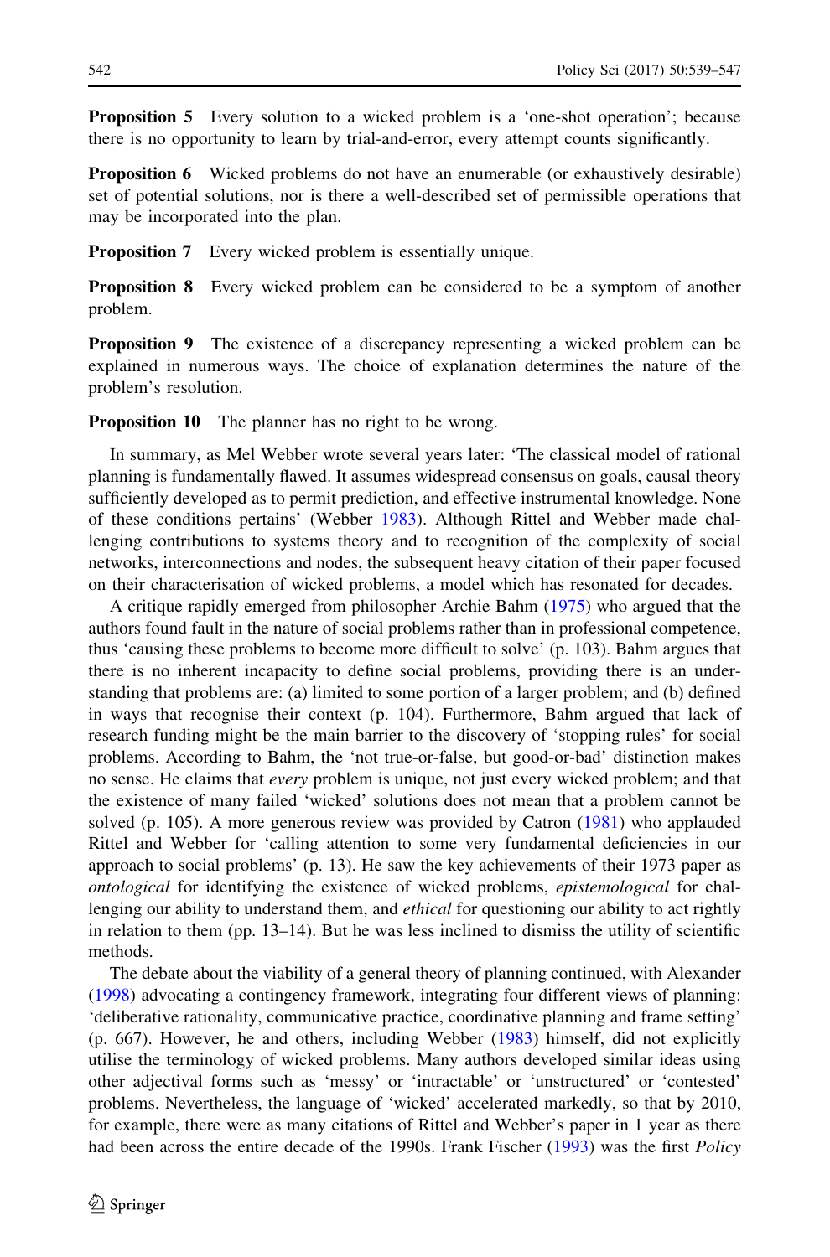Proposition 5 Every solution to a wicked problem is a 'one-shot operation'; because there is no opportunity to learn by trial-and-error, every attempt counts significantly.

Proposition 6 Wicked problems do not have an enumerable (or exhaustively desirable) set of potential solutions, nor is there a well-described set of permissible operations that may be incorporated into the plan.

Proposition 7 Every wicked problem is essentially unique.

**Proposition 8** Every wicked problem can be considered to be a symptom of another problem.

Proposition 9 The existence of a discrepancy representing a wicked problem can be explained in numerous ways. The choice of explanation determines the nature of the problem's resolution.

Proposition 10 The planner has no right to be wrong.

In summary, as Mel Webber wrote several years later: 'The classical model of rational planning is fundamentally flawed. It assumes widespread consensus on goals, causal theory sufficiently developed as to permit prediction, and effective instrumental knowledge. None of these conditions pertains' (Webber [1983\)](#page-9-0). Although Rittel and Webber made challenging contributions to systems theory and to recognition of the complexity of social networks, interconnections and nodes, the subsequent heavy citation of their paper focused on their characterisation of wicked problems, a model which has resonated for decades.

A critique rapidly emerged from philosopher Archie Bahm [\(1975](#page-8-0)) who argued that the authors found fault in the nature of social problems rather than in professional competence, thus 'causing these problems to become more difficult to solve' (p. 103). Bahm argues that there is no inherent incapacity to define social problems, providing there is an understanding that problems are: (a) limited to some portion of a larger problem; and (b) defined in ways that recognise their context (p. 104). Furthermore, Bahm argued that lack of research funding might be the main barrier to the discovery of 'stopping rules' for social problems. According to Bahm, the 'not true-or-false, but good-or-bad' distinction makes no sense. He claims that every problem is unique, not just every wicked problem; and that the existence of many failed 'wicked' solutions does not mean that a problem cannot be solved (p. 105). A more generous review was provided by Catron [\(1981\)](#page-8-0) who applauded Rittel and Webber for 'calling attention to some very fundamental deficiencies in our approach to social problems' (p. 13). He saw the key achievements of their 1973 paper as ontological for identifying the existence of wicked problems, epistemological for challenging our ability to understand them, and *ethical* for questioning our ability to act rightly in relation to them (pp. 13–14). But he was less inclined to dismiss the utility of scientific methods.

The debate about the viability of a general theory of planning continued, with Alexander ([1998\)](#page-8-0) advocating a contingency framework, integrating four different views of planning: 'deliberative rationality, communicative practice, coordinative planning and frame setting' (p. 667). However, he and others, including Webber [\(1983](#page-9-0)) himself, did not explicitly utilise the terminology of wicked problems. Many authors developed similar ideas using other adjectival forms such as 'messy' or 'intractable' or 'unstructured' or 'contested' problems. Nevertheless, the language of 'wicked' accelerated markedly, so that by 2010, for example, there were as many citations of Rittel and Webber's paper in 1 year as there had been across the entire decade of the 1990s. Frank Fischer ([1993\)](#page-8-0) was the first *Policy*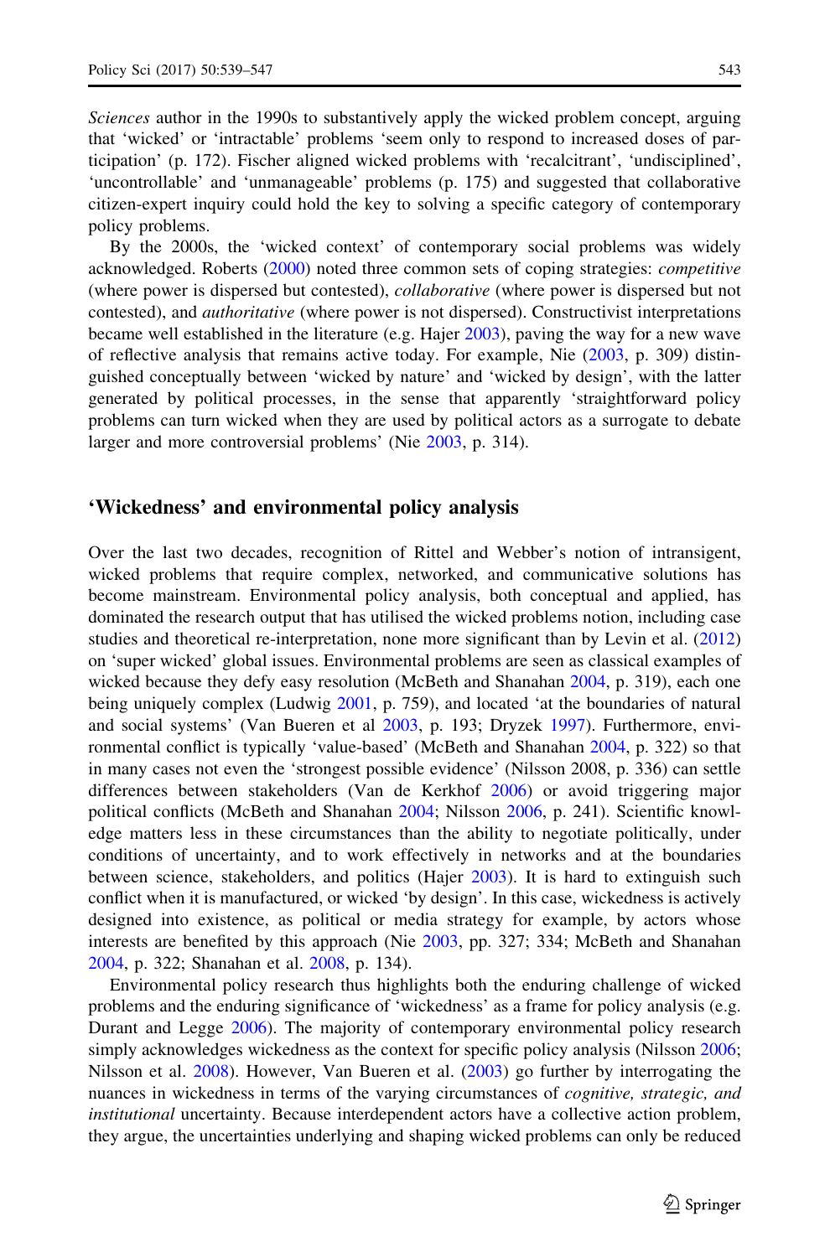Sciences author in the 1990s to substantively apply the wicked problem concept, arguing that 'wicked' or 'intractable' problems 'seem only to respond to increased doses of participation' (p. 172). Fischer aligned wicked problems with 'recalcitrant', 'undisciplined', 'uncontrollable' and 'unmanageable' problems (p. 175) and suggested that collaborative citizen-expert inquiry could hold the key to solving a specific category of contemporary policy problems.

By the 2000s, the 'wicked context' of contemporary social problems was widely acknowledged. Roberts ([2000\)](#page-9-0) noted three common sets of coping strategies: competitive (where power is dispersed but contested), *collaborative* (where power is dispersed but not contested), and authoritative (where power is not dispersed). Constructivist interpretations became well established in the literature (e.g. Hajer [2003\)](#page-8-0), paving the way for a new wave of reflective analysis that remains active today. For example, Nie ([2003,](#page-9-0) p. 309) distinguished conceptually between 'wicked by nature' and 'wicked by design', with the latter generated by political processes, in the sense that apparently 'straightforward policy problems can turn wicked when they are used by political actors as a surrogate to debate larger and more controversial problems' (Nie [2003,](#page-9-0) p. 314).

#### 'Wickedness' and environmental policy analysis

Over the last two decades, recognition of Rittel and Webber's notion of intransigent, wicked problems that require complex, networked, and communicative solutions has become mainstream. Environmental policy analysis, both conceptual and applied, has dominated the research output that has utilised the wicked problems notion, including case studies and theoretical re-interpretation, none more significant than by Levin et al. ([2012](#page-9-0)) on 'super wicked' global issues. Environmental problems are seen as classical examples of wicked because they defy easy resolution (McBeth and Shanahan [2004,](#page-9-0) p. 319), each one being uniquely complex (Ludwig [2001](#page-9-0), p. 759), and located 'at the boundaries of natural and social systems' (Van Bueren et al [2003,](#page-9-0) p. 193; Dryzek [1997](#page-8-0)). Furthermore, environmental conflict is typically 'value-based' (McBeth and Shanahan [2004](#page-9-0), p. 322) so that in many cases not even the 'strongest possible evidence' (Nilsson 2008, p. 336) can settle differences between stakeholders (Van de Kerkhof [2006](#page-9-0)) or avoid triggering major political conflicts (McBeth and Shanahan [2004](#page-9-0); Nilsson [2006](#page-9-0), p. 241). Scientific knowledge matters less in these circumstances than the ability to negotiate politically, under conditions of uncertainty, and to work effectively in networks and at the boundaries between science, stakeholders, and politics (Hajer [2003\)](#page-8-0). It is hard to extinguish such conflict when it is manufactured, or wicked 'by design'. In this case, wickedness is actively designed into existence, as political or media strategy for example, by actors whose interests are benefited by this approach (Nie [2003,](#page-9-0) pp. 327; 334; McBeth and Shanahan [2004,](#page-9-0) p. 322; Shanahan et al. [2008,](#page-9-0) p. 134).

Environmental policy research thus highlights both the enduring challenge of wicked problems and the enduring significance of 'wickedness' as a frame for policy analysis (e.g. Durant and Legge [2006](#page-8-0)). The majority of contemporary environmental policy research simply acknowledges wickedness as the context for specific policy analysis (Nilsson [2006;](#page-9-0) Nilsson et al. [2008](#page-9-0)). However, Van Bueren et al. [\(2003](#page-9-0)) go further by interrogating the nuances in wickedness in terms of the varying circumstances of *cognitive*, *strategic*, and institutional uncertainty. Because interdependent actors have a collective action problem, they argue, the uncertainties underlying and shaping wicked problems can only be reduced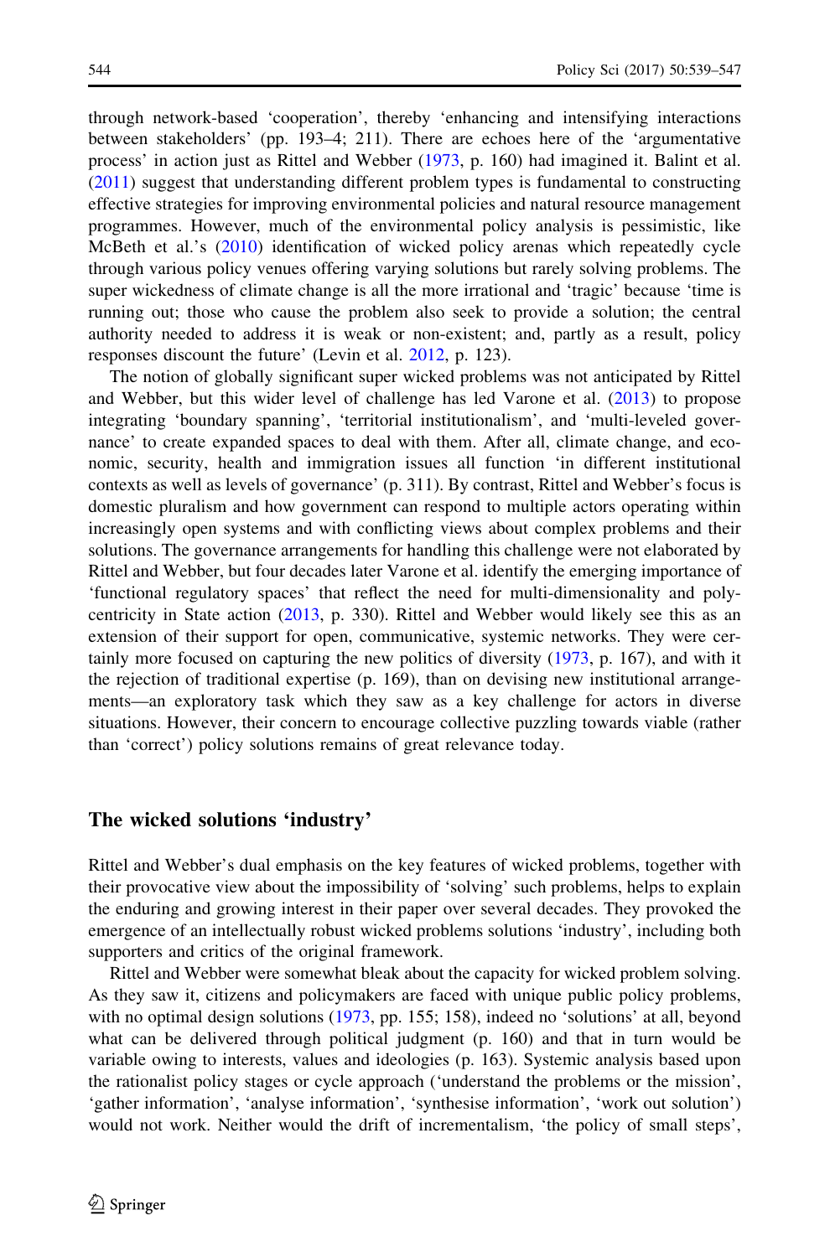through network-based 'cooperation', thereby 'enhancing and intensifying interactions between stakeholders' (pp. 193–4; 211). There are echoes here of the 'argumentative process' in action just as Rittel and Webber ([1973,](#page-9-0) p. 160) had imagined it. Balint et al. ([2011\)](#page-8-0) suggest that understanding different problem types is fundamental to constructing effective strategies for improving environmental policies and natural resource management programmes. However, much of the environmental policy analysis is pessimistic, like McBeth et al.'s [\(2010](#page-9-0)) identification of wicked policy arenas which repeatedly cycle through various policy venues offering varying solutions but rarely solving problems. The super wickedness of climate change is all the more irrational and 'tragic' because 'time is running out; those who cause the problem also seek to provide a solution; the central authority needed to address it is weak or non-existent; and, partly as a result, policy responses discount the future' (Levin et al. [2012,](#page-9-0) p. 123).

The notion of globally significant super wicked problems was not anticipated by Rittel and Webber, but this wider level of challenge has led Varone et al. [\(2013](#page-9-0)) to propose integrating 'boundary spanning', 'territorial institutionalism', and 'multi-leveled governance' to create expanded spaces to deal with them. After all, climate change, and economic, security, health and immigration issues all function 'in different institutional contexts as well as levels of governance' (p. 311). By contrast, Rittel and Webber's focus is domestic pluralism and how government can respond to multiple actors operating within increasingly open systems and with conflicting views about complex problems and their solutions. The governance arrangements for handling this challenge were not elaborated by Rittel and Webber, but four decades later Varone et al. identify the emerging importance of 'functional regulatory spaces' that reflect the need for multi-dimensionality and polycentricity in State action ([2013](#page-9-0), p. 330). Rittel and Webber would likely see this as an extension of their support for open, communicative, systemic networks. They were certainly more focused on capturing the new politics of diversity [\(1973](#page-9-0), p. 167), and with it the rejection of traditional expertise (p. 169), than on devising new institutional arrangements—an exploratory task which they saw as a key challenge for actors in diverse situations. However, their concern to encourage collective puzzling towards viable (rather than 'correct') policy solutions remains of great relevance today.

#### The wicked solutions 'industry'

Rittel and Webber's dual emphasis on the key features of wicked problems, together with their provocative view about the impossibility of 'solving' such problems, helps to explain the enduring and growing interest in their paper over several decades. They provoked the emergence of an intellectually robust wicked problems solutions 'industry', including both supporters and critics of the original framework.

Rittel and Webber were somewhat bleak about the capacity for wicked problem solving. As they saw it, citizens and policymakers are faced with unique public policy problems, with no optimal design solutions [\(1973](#page-9-0), pp. 155; 158), indeed no 'solutions' at all, beyond what can be delivered through political judgment (p. 160) and that in turn would be variable owing to interests, values and ideologies (p. 163). Systemic analysis based upon the rationalist policy stages or cycle approach ('understand the problems or the mission', 'gather information', 'analyse information', 'synthesise information', 'work out solution') would not work. Neither would the drift of incrementalism, 'the policy of small steps',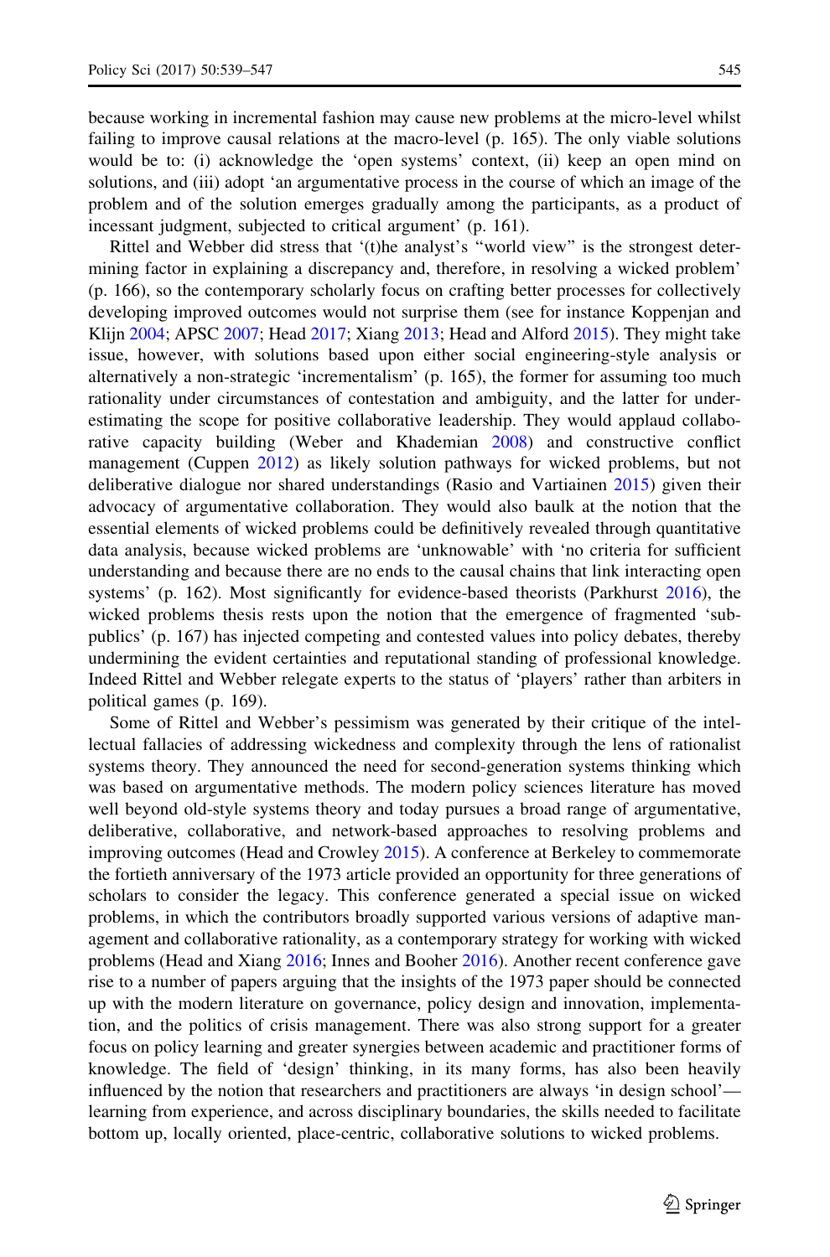because working in incremental fashion may cause new problems at the micro-level whilst failing to improve causal relations at the macro-level (p. 165). The only viable solutions would be to: (i) acknowledge the 'open systems' context, (ii) keep an open mind on solutions, and (iii) adopt 'an argumentative process in the course of which an image of the problem and of the solution emerges gradually among the participants, as a product of incessant judgment, subjected to critical argument' (p. 161).

Rittel and Webber did stress that '(t)he analyst's ''world view'' is the strongest determining factor in explaining a discrepancy and, therefore, in resolving a wicked problem' (p. 166), so the contemporary scholarly focus on crafting better processes for collectively developing improved outcomes would not surprise them (see for instance Koppenjan and Klijn [2004;](#page-9-0) APSC [2007](#page-8-0); Head [2017](#page-9-0); Xiang [2013;](#page-9-0) Head and Alford [2015\)](#page-9-0). They might take issue, however, with solutions based upon either social engineering-style analysis or alternatively a non-strategic 'incrementalism' (p. 165), the former for assuming too much rationality under circumstances of contestation and ambiguity, and the latter for underestimating the scope for positive collaborative leadership. They would applaud collaborative capacity building (Weber and Khademian [2008](#page-9-0)) and constructive conflict management (Cuppen [2012](#page-8-0)) as likely solution pathways for wicked problems, but not deliberative dialogue nor shared understandings (Rasio and Vartiainen [2015](#page-9-0)) given their advocacy of argumentative collaboration. They would also baulk at the notion that the essential elements of wicked problems could be definitively revealed through quantitative data analysis, because wicked problems are 'unknowable' with 'no criteria for sufficient understanding and because there are no ends to the causal chains that link interacting open systems' (p. 162). Most significantly for evidence-based theorists (Parkhurst [2016\)](#page-9-0), the wicked problems thesis rests upon the notion that the emergence of fragmented 'subpublics' (p. 167) has injected competing and contested values into policy debates, thereby undermining the evident certainties and reputational standing of professional knowledge. Indeed Rittel and Webber relegate experts to the status of 'players' rather than arbiters in political games (p. 169).

Some of Rittel and Webber's pessimism was generated by their critique of the intellectual fallacies of addressing wickedness and complexity through the lens of rationalist systems theory. They announced the need for second-generation systems thinking which was based on argumentative methods. The modern policy sciences literature has moved well beyond old-style systems theory and today pursues a broad range of argumentative, deliberative, collaborative, and network-based approaches to resolving problems and improving outcomes (Head and Crowley [2015](#page-9-0)). A conference at Berkeley to commemorate the fortieth anniversary of the 1973 article provided an opportunity for three generations of scholars to consider the legacy. This conference generated a special issue on wicked problems, in which the contributors broadly supported various versions of adaptive management and collaborative rationality, as a contemporary strategy for working with wicked problems (Head and Xiang [2016](#page-9-0); Innes and Booher [2016\)](#page-9-0). Another recent conference gave rise to a number of papers arguing that the insights of the 1973 paper should be connected up with the modern literature on governance, policy design and innovation, implementation, and the politics of crisis management. There was also strong support for a greater focus on policy learning and greater synergies between academic and practitioner forms of knowledge. The field of 'design' thinking, in its many forms, has also been heavily influenced by the notion that researchers and practitioners are always 'in design school' learning from experience, and across disciplinary boundaries, the skills needed to facilitate bottom up, locally oriented, place-centric, collaborative solutions to wicked problems.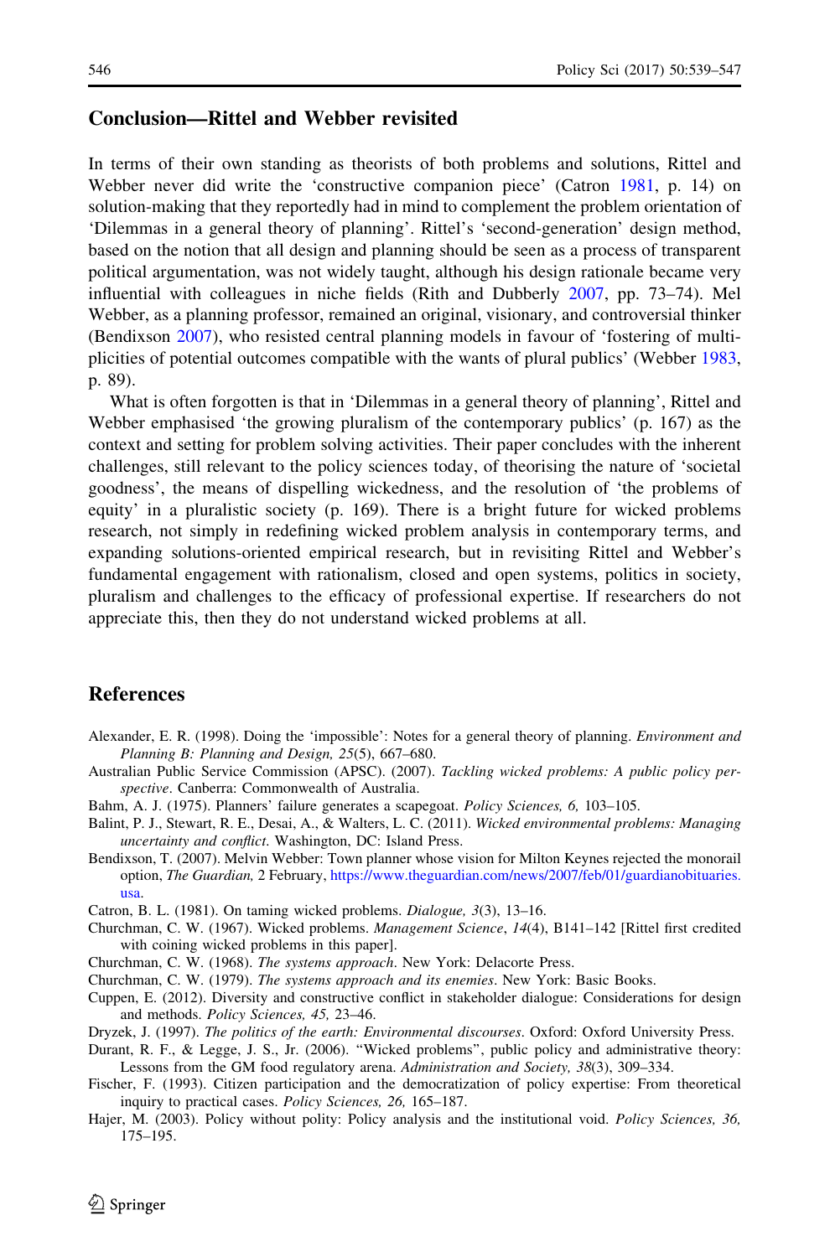# <span id="page-8-0"></span>Conclusion—Rittel and Webber revisited

In terms of their own standing as theorists of both problems and solutions, Rittel and Webber never did write the 'constructive companion piece' (Catron 1981, p. 14) on solution-making that they reportedly had in mind to complement the problem orientation of 'Dilemmas in a general theory of planning'. Rittel's 'second-generation' design method, based on the notion that all design and planning should be seen as a process of transparent political argumentation, was not widely taught, although his design rationale became very influential with colleagues in niche fields (Rith and Dubberly [2007](#page-9-0), pp. 73–74). Mel Webber, as a planning professor, remained an original, visionary, and controversial thinker (Bendixson 2007), who resisted central planning models in favour of 'fostering of multiplicities of potential outcomes compatible with the wants of plural publics' (Webber [1983](#page-9-0), p. 89).

What is often forgotten is that in 'Dilemmas in a general theory of planning', Rittel and Webber emphasised 'the growing pluralism of the contemporary publics' (p. 167) as the context and setting for problem solving activities. Their paper concludes with the inherent challenges, still relevant to the policy sciences today, of theorising the nature of 'societal goodness', the means of dispelling wickedness, and the resolution of 'the problems of equity' in a pluralistic society (p. 169). There is a bright future for wicked problems research, not simply in redefining wicked problem analysis in contemporary terms, and expanding solutions-oriented empirical research, but in revisiting Rittel and Webber's fundamental engagement with rationalism, closed and open systems, politics in society, pluralism and challenges to the efficacy of professional expertise. If researchers do not appreciate this, then they do not understand wicked problems at all.

## **References**

- Alexander, E. R. (1998). Doing the 'impossible': Notes for a general theory of planning. Environment and Planning B: Planning and Design, 25(5), 667–680.
- Australian Public Service Commission (APSC). (2007). Tackling wicked problems: A public policy perspective. Canberra: Commonwealth of Australia.
- Bahm, A. J. (1975). Planners' failure generates a scapegoat. Policy Sciences, 6, 103–105.
- Balint, P. J., Stewart, R. E., Desai, A., & Walters, L. C. (2011). Wicked environmental problems: Managing uncertainty and conflict. Washington, DC: Island Press.
- Bendixson, T. (2007). Melvin Webber: Town planner whose vision for Milton Keynes rejected the monorail option, The Guardian, 2 February, [https://www.theguardian.com/news/2007/feb/01/guardianobituaries.](https://www.theguardian.com/news/2007/feb/01/guardianobituaries.usa) [usa](https://www.theguardian.com/news/2007/feb/01/guardianobituaries.usa).
- Catron, B. L. (1981). On taming wicked problems. Dialogue, 3(3), 13–16.
- Churchman, C. W. (1967). Wicked problems. Management Science, 14(4), B141–142 [Rittel first credited with coining wicked problems in this paper].
- Churchman, C. W. (1968). The systems approach. New York: Delacorte Press.
- Churchman, C. W. (1979). The systems approach and its enemies. New York: Basic Books.
- Cuppen, E. (2012). Diversity and constructive conflict in stakeholder dialogue: Considerations for design and methods. Policy Sciences, 45, 23–46.
- Dryzek, J. (1997). The politics of the earth: Environmental discourses. Oxford: Oxford University Press.
- Durant, R. F., & Legge, J. S., Jr. (2006). "Wicked problems", public policy and administrative theory: Lessons from the GM food regulatory arena. Administration and Society, 38(3), 309–334.
- Fischer, F. (1993). Citizen participation and the democratization of policy expertise: From theoretical inquiry to practical cases. Policy Sciences, 26, 165–187.
- Hajer, M. (2003). Policy without polity: Policy analysis and the institutional void. Policy Sciences, 36, 175–195.